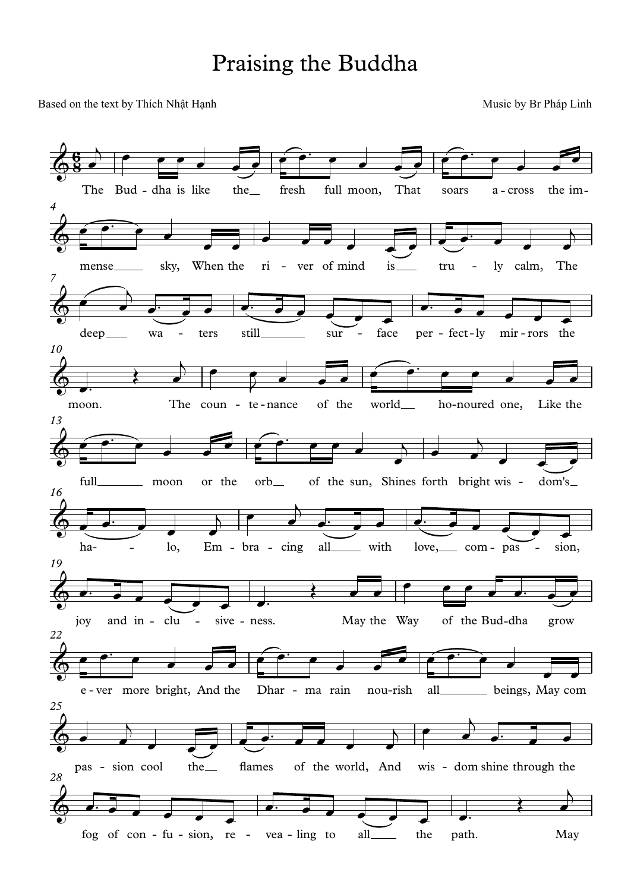## Praising the Buddha

Based on the text by Thích Nhật Hạnh Music by Br Pháp Linh